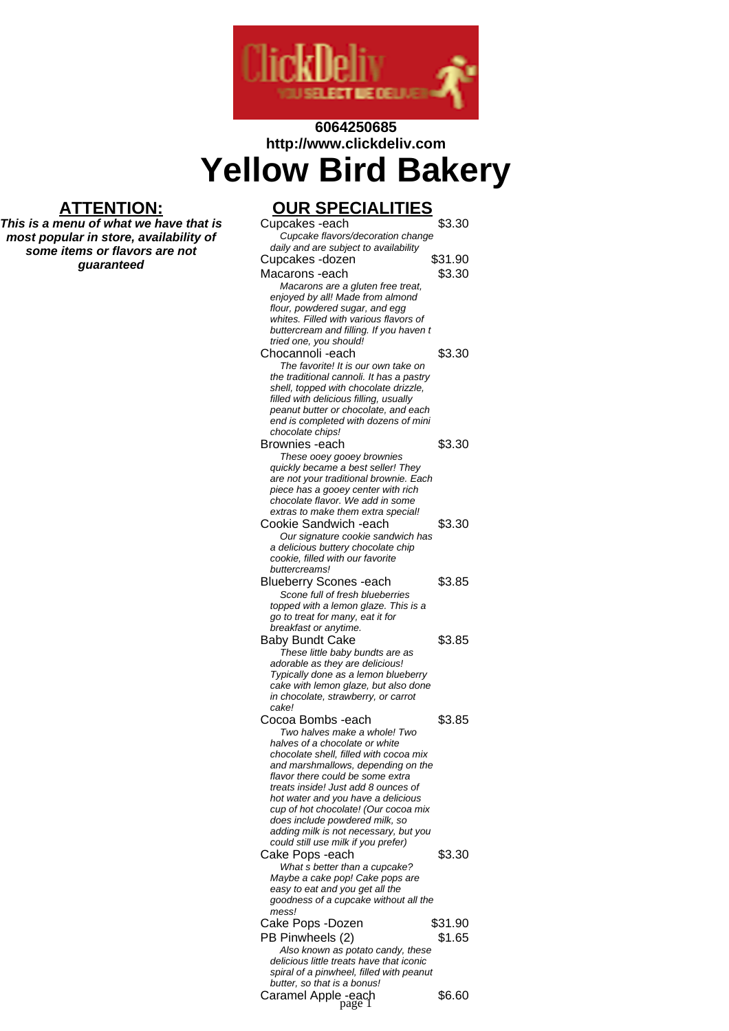

# **6064250685 http://www.clickdeliv.com Yellow Bird Bakery**

### **ATTENTION:**

**This is a menu of what we have that is most popular in store, availability of some items or flavors are not guaranteed**

## **OUR SPECIALITIES**

| Cupcakes -each                                                                       | \$3.30  |
|--------------------------------------------------------------------------------------|---------|
| Cupcake flavors/decoration change                                                    |         |
| daily and are subject to availability                                                |         |
| Cupcakes -dozen                                                                      | \$31.90 |
| Macarons -each                                                                       | \$3.30  |
| Macarons are a gluten free treat,                                                    |         |
| enjoyed by all! Made from almond                                                     |         |
| flour, powdered sugar, and egg                                                       |         |
| whites. Filled with various flavors of                                               |         |
| buttercream and filling. If you haven t                                              |         |
| tried one, you should!                                                               |         |
| Chocannoli -each                                                                     | \$3.30  |
| The favorite! It is our own take on                                                  |         |
| the traditional cannoli. It has a pastry                                             |         |
| shell, topped with chocolate drizzle,                                                |         |
| filled with delicious filling, usually<br>peanut butter or chocolate, and each       |         |
| end is completed with dozens of mini                                                 |         |
| chocolate chips!                                                                     |         |
| Brownies -each                                                                       | \$3.30  |
| These ooey gooey brownies                                                            |         |
| quickly became a best seller! They                                                   |         |
| are not your traditional brownie. Each                                               |         |
| piece has a gooey center with rich                                                   |         |
| chocolate flavor. We add in some                                                     |         |
| extras to make them extra special!                                                   |         |
| Cookie Sandwich -each                                                                | \$3.30  |
| Our signature cookie sandwich has                                                    |         |
| a delicious buttery chocolate chip                                                   |         |
| cookie, filled with our favorite                                                     |         |
| buttercreams!                                                                        |         |
| <b>Blueberry Scones -each</b>                                                        | \$3.85  |
| Scone full of fresh blueberries                                                      |         |
| topped with a lemon glaze. This is a                                                 |         |
| go to treat for many, eat it for                                                     |         |
| breakfast or anytime.                                                                |         |
| <b>Baby Bundt Cake</b>                                                               | \$3.85  |
| These little baby bundts are as                                                      |         |
| adorable as they are delicious!                                                      |         |
| Typically done as a lemon blueberry<br>cake with lemon glaze, but also done          |         |
| in chocolate, strawberry, or carrot                                                  |         |
| cake!                                                                                |         |
| Cocoa Bombs -each                                                                    | \$3.85  |
| Two halves make a whole! Two                                                         |         |
| halves of a chocolate or white                                                       |         |
| chocolate shell, filled with cocoa mix                                               |         |
| and marshmallows, depending on the                                                   |         |
| flavor there could be some extra                                                     |         |
| treats inside! Just add 8 ounces of                                                  |         |
| hot water and you have a delicious                                                   |         |
| cup of hot chocolate! (Our cocoa mix                                                 |         |
| does include powdered milk, so                                                       |         |
| adding milk is not necessary, but you                                                |         |
| could still use milk if you prefer)                                                  |         |
| Cake Pops -each                                                                      | \$3.30  |
| What s better than a cupcake?                                                        |         |
| Maybe a cake pop! Cake pops are                                                      |         |
| easy to eat and you get all the                                                      |         |
| goodness of a cupcake without all the<br>mess!                                       |         |
|                                                                                      | \$31.90 |
| Cake Pops -Dozen                                                                     |         |
| PB Pinwheels (2)                                                                     | \$1.65  |
| Also known as potato candy, these                                                    |         |
| delicious little treats have that iconic<br>spiral of a pinwheel, filled with peanut |         |
| butter, so that is a bonus!                                                          |         |
|                                                                                      | \$6.60  |
| Caramel Apple -each<br>page 1                                                        |         |